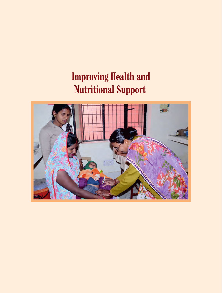# **Improving Health and Nutritional Support**

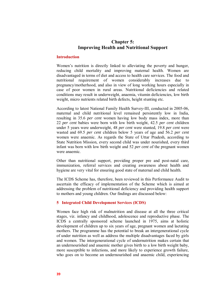# **Chapter 5: Improving Health and Nutritional Support**

## **Introduction**

Women's nutrition is directly linked to alleviating the poverty and hunger, reducing child mortality and improving maternal health. Women are disadvantaged in terms of diet and access to health care services. The food and nutritional requirement of women considerably increases due to pregnancy/motherhood, and also in view of long working hours especially in case of poor women in rural areas. Nutritional deficiencies and related conditions may result in underweight, anaemia, vitamin deficiencies, low birth weight, micro nutrients related birth defects, height stunting etc.

According to latest National Family Health Survey-III, conducted in 2005-06, maternal and child nutritional level remained persistently low in India, resulting in 35.6 *per cent* women having low body mass index, more than 22 *per cent* babies were born with low birth weight, 42.5 *per cent* children under 5 years were underweight, 48 *per cent* were stunted, 19.8 *per cent* were wasted and 69.5 *per cent* children below 5 years of age and 56.2 *per cent* women were anaemic. As regards the State of Uttar Pradesh, according to State Nutrition Mission, every second child was under nourished, every third infant was born with low birth weight and 52 *per cent* of the pregnant women were anaemic.

Other than nutritional support, providing proper pre and post-natal care, immunization, referral services and creating awareness about health and hygiene are very vital for ensuring good state of maternal and child health.

The ICDS Scheme has, therefore, been reviewed in this Performance Audit to ascertain the efficacy of implementation of the Scheme which is aimed at addressing the problem of nutritional deficiency and providing health support to mothers and young children. Our findings are discussed below:

# **5 Integrated Child Development Services (ICDS)**

Women face high risk of malnutrition and disease at all the three critical stages, viz. infancy and childhood, adolescence and reproductive phase. The ICDS a centrally sponsored scheme launched in 1975, aims at holistic development of children up to six years of age, pregnant women and lactating mothers. The programme has the potential to break an intergenerational cycle of under nutrition as well as address the multiple disadvantages faced by girls and women. The intergenerational cycle of undernutrition makes certain that an undernourished and anaemic mother gives birth to a low birth weight baby, more susceptible to infections, and more likely to experience growth failure, who goes on to become an undernourished and anaemic child, experiencing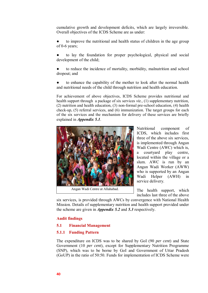cumulative growth and development deficits, which are largely irreversible. Overall objectives of the ICDS Scheme are as under:

to improve the nutritional and health status of children in the age group of 0-6 years;

to lay the foundation for proper psychological, physical and social development of the child;

to reduce the incidence of mortality, morbidity, malnutrition and school dropout; and

to enhance the capability of the mother to look after the normal health and nutritional needs of the child through nutrition and health education.

For achievement of above objectives, ICDS Scheme provides nutritional and health support through a package of six services *viz*., (1) supplementary nutrition, (2) nutrition and health education, (3) non-formal pre-school education, (4) health check-up, (5) referral services, and (6) immunization. The target groups for each of the six services and the mechanism for delivery of these services are briefly explained in *Appendix 5.1*.



Angan Wadi Centre at Allahabad.

Nutritional component of ICDS, which includes first three of the above six services, is implemented through Angan Wadi Centre (AWC) which is, a courtyard play centre, located within the village or a slum. AWC is run by an Angan Wadi Worker (AWW) who is supported by an Angan Wadi Helper (AWH) in service delivery.

The health support, which includes last three of the above

six services, is provided through AWCs by convergence with National Health Mission. Details of supplementary nutrition and health support provided under the scheme are given in *Appendix 5.2* and *5.3* respectively.

# **Audit findings**

# **5.1 Financial Management**

# **5.1.1 Funding Pattern**

The expenditure on ICDS was to be shared by GoI (90 *per cent*) and State Government (10 *per cent*), except for Supplementary Nutrition Programme (SNP), which was to be borne by GoI and Government of Uttar Pradesh (GoUP) in the ratio of 50:50. Funds for implementation of ICDS Scheme were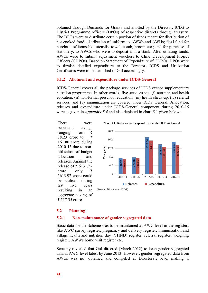obtained through Demands for Grants and allotted by the Director, ICDS to District Programme officers (DPOs) of respective districts through treasury. The DPOs were to distribute certain portion of funds meant for distribution of hot cooked food; distribution of uniform to AWWs and AWHs; flexi fund for purchase of items like utensils, towel, comb, broom etc.; and for purchase of stationery, to AWCs who were to deposit it in a Bank. After utilizing funds, AWCs were to submit adjustment vouchers to Child Development Project Officers (CDPOs). Based on Statement of Expenditure of CDPOs, DPOs were to furnish detailed expenditure to the Director, ICDS and Utilization Certificates were to be furnished to GoI accordingly.

## **5.1.2 Allotment and expenditure under ICDS-General**

ICDS-General covers all the package services of ICDS except supplementary nutrition programme. In other words, five services viz. (i) nutrition and health education, (ii) non-formal preschool education, (iii) health check-up, (iv) referral services, and (v) immunization are covered under ICDS General. Allocation, releases and expenditure under ICDS-General component during 2010-15 were as given in *Appendix 5.4* and also depicted in chart 5.1 given below:

There were persistent savings ranging from  $\bar{\tau}$ 38.23 crore to  $\bar{\tau}$ 161.80 crore during 2010-15 due to nonutilisation of budget allocation and releases. Against the release of ₹ 6131.27 crore, only  $\bar{\tau}$ 5613.92 crore could be utilised during last five years resulting in an aggregate saving of ₹ 517.35 crore.



# **5.2 Planning**

## **5.2.1 Non-maintenance of gender segregated data**

(Source: Directorate, ICDS)

Basic data for the Scheme was to be maintained at AWC level in the registers like AWC survey register, pregnancy and delivery register, immunization and village health and nutrition day (VHND) register, referral register, weighing register, AWWs home visit register etc.

Scrutiny revealed that GoI directed (March 2012) to keep gender segregated data at AWC level latest by June 2013. However, gender segregated data from AWCs was not obtained and compiled at Directorate level making it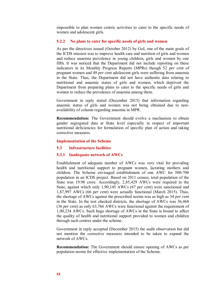impossible to plan women centric activities to cater to the specific needs of women and adolescent girls.

# **5.2.2 No plans to cater for specific needs of girls and women**

As per the directives issued (October 2012) by GoI, one of the main goals of the ICDS mission was to improve health care and nutrition of girls and women and reduce anaemia prevalence in young children, girls and women by one fifth. It was noticed that the Department did not include reporting on these indicators in its Monthly Progress Reports (MPRs) though 52 *per cent* of pregnant women and 49 *per cent* adolescent girls were suffering from anaemia in the State. Thus, the Department did not have authentic data relating to nutritional and anaemic status of girls and women, which deprived the Department from preparing plans to cater to the specific needs of girls and women to reduce the prevalence of anaemia among them.

Government in reply stated (December 2015) that information regarding anaemic status of girls and women was not being obtained due to nonavailability of column regarding anaemia in MPR.

**Recommendation:** The Government should evolve a mechanism to obtain gender segregated data at State level especially in respect of important nutritional deficiencies for formulation of specific plan of action and taking corrective measures.

#### **Implementation of the Scheme**

## **5.3 Infrastructure facilities**

#### **5.3.1 Inadequate network of AWCs**

Establishment of adequate number of AWCs was very vital for providing health and nutritional support to pregnant women, lactating mothers and children. The Scheme envisaged establishment of one AWC for 500-700 population in an ICDS project. Based on 2011 census, total population of the State was 19.98 crore. Accordingly, 2,85,429 AWCs were required in the State, against which only 1,90,145 AWCs (67 *per cent*) were sanctioned and 1,87,997 AWCs (66 *per cent*) were actually functional (March 2015). Thus, the shortage of AWCs against the prescribed norms was as high as 34 *per cent* in the State. In the test checked districts, the shortage of AWCs was 36,468 (36 *per cent*) as only 63,766 AWCs were functional against the requirement of 1,00,234 AWCs. Such huge shortage of AWCs in the State is bound to affect the quality of health and nutritional support provided to women and children through such centres under the scheme.

Government in reply accepted (December 2015) the audit observation but did not mention the corrective measures intended to be taken to expand the network of AWCs.

**Recommendation:** The Government should ensure opening of AWCs as per population norms for effective implementation of the Scheme.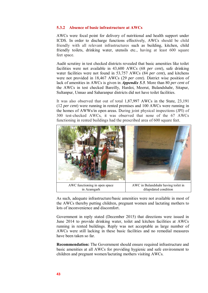# **5.3.2 Absence of basic infrastructure at AWCs**

AWCs were focal point for delivery of nutritional and health support under ICDS. In order to discharge functions effectively, AWCs should be child friendly with all relevant infrastructures such as building, kitchen, child friendly toilets, drinking water, utensils etc., having at least 600 square feet space.

Audit scrutiny in test checked districts revealed that basic amenities like toilet facilities were not available in 43,600 AWCs (68 *per cent*), safe drinking water facilities were not found in 53,757 AWCs (84 *per cent*), and kitchens were not provided in 18,467 AWCs (29 *per cent*). District wise position of lack of amenities in AWCs is given in *Appendix 5.5*. More than 80 *per cent* of the AWCs in test checked Bareilly, Hardoi, Meerut, Bulandshahr, Sitapur, Sultanpur, Unnao and Saharanpur districts did not have toilet facilities.

It was also observed that out of total 1,87,997 AWCs in the State, 23,191 (12 *per cent*) were running in rented premises and 100 AWCs were running in the homes of AWWs/in open areas. During joint physical inspections (JPI) of 300 test-checked AWCs, it was observed that none of the 67 AWCs functioning in rented buildings had the prescribed area of 600 square feet.



As such, adequate infrastructure/basic amenities were not available in most of the AWCs thereby putting children, pregnant women and lactating mothers to lots of inconvenience and discomfort.

Government in reply stated (December 2015) that directions were issued in June 2014 to provide drinking water, toilet and kitchen facilities at AWCs running in rented buildings. Reply was not acceptable as large number of AWCs were still lacking in these basic facilities and no remedial measures have been taken so far.

**Recommendation:** The Government should ensure required infrastructure and basic amenities at all AWCs for providing hygienic and safe environment to children and pregnant women/lactating mothers visiting AWCs.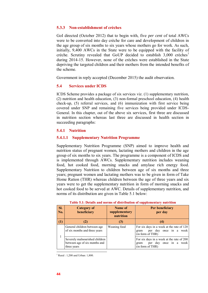# **5.3.3 Non-establishment of crèches**

GoI directed (October 2012) that to begin with, five *per cent* of total AWCs were to be converted into day crèche for care and development of children in the age group of six months to six years whose mothers go for work. As such, initially, 9,400 AWCs in the State were to be equipped with the facility of crèche. Scrutiny revealed that GoUP decided to establish  $3,000$  crèches<sup>1</sup> during 2014-15. However, none of the crèches were established in the State depriving the targeted children and their mothers from the intended benefits of the scheme.

Government in reply accepted (December 2015) the audit observation.

## **5.4 Services under ICDS**

ICDS Scheme provides a package of six services viz. (1) supplementary nutrition, (2) nutrition and health education, (3) non-formal preschool education, (4) health check-up, (5) referral services, and (6) immunization with first service being covered under SNP and remaining five services being provided under ICDS-General. In this chapter, out of the above six services, first three are discussed in nutrition section whereas last three are discussed in health section in succeeding paragraphs:

## **5.4.1 Nutrition**

## **5.4.1.1 Supplementary Nutrition Programme**

Supplementary Nutrition Programme (SNP) aimed to improve health and nutrition status of pregnant women, lactating mothers and children in the age group of six months to six years. The programme is a component of ICDS and is implemented through AWCs. Supplementary nutrition includes weaning food, hot cooked food, morning snacks and amylase rich energy food. Supplementary Nutrition to children between age of six months and three years; pregnant women and lactating mothers was to be given in form of Take Home Ration (THR) whereas children between the age of three years and six years were to get the supplementary nutrition in form of morning snacks and hot cooked food to be served at AWC. Details of supplementary nutrition, and norms of its distribution are given in Table 5.1 below:

| SI.<br>No.       | <b>Category of</b><br>beneficiary                                              | Name of<br>supplementary<br>nutrition | Per beneficiary<br>per day                                                                      |
|------------------|--------------------------------------------------------------------------------|---------------------------------------|-------------------------------------------------------------------------------------------------|
| $\left(1\right)$ | (2)                                                                            | (3)                                   | (4)                                                                                             |
|                  | General children between age<br>of six months and three years                  | Weaning food                          | For six days in a week at the rate of 120<br>per day once in a week<br>gram<br>(in form of THR) |
|                  | Severely malnourished children<br>between age of six months and<br>three years |                                       | For six days in a week at the rate of 200<br>per day once in a week<br>gram<br>(in form of THR) |

| Table 5.1: Details and norms of distribution of supplementary nutrition |  |  |  |  |
|-------------------------------------------------------------------------|--|--|--|--|
|-------------------------------------------------------------------------|--|--|--|--|

1 Rural : 1,200 and Urban: 1,800.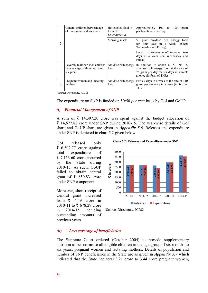|   | General children between age<br>of three years and six years                  | Hot cooked food in<br>form of<br>Khichdi/Dalia | Approximately 100 to<br>125<br>gram<br>per beneficiary per day                                                                                      |  |  |  |
|---|-------------------------------------------------------------------------------|------------------------------------------------|-----------------------------------------------------------------------------------------------------------------------------------------------------|--|--|--|
| 2 |                                                                               | Morning snack                                  | 50 gram amylase rich energy<br>food<br>for four days in a week (except<br>Wednesday and Friday)                                                     |  |  |  |
|   |                                                                               |                                                | Local fruit/ <i>Gur-chana/lai-chana</i><br>two<br>days in a week (on Wednesday and<br>Friday)                                                       |  |  |  |
| 3 | Severely malnourished children<br>between age of three years and<br>six years | Amylase rich energy<br>food                    | In addition to above at Sl. No. 2,<br>amylase rich energy food at the rate of<br>75 gram per day for six days in a week<br>at once (in form of THR) |  |  |  |
| 4 | Pregnant women and lactating<br>mothers                                       | Amylase rich energy<br>food                    | For six days in a week at the rate of 140<br>gram per day once in a week (in form of<br>THR                                                         |  |  |  |

(Source: Directorate, ICDS)

The expenditure on SNP is funded on 50:50 *per cent* basis by GoI and GoUP.

## *(i) Financial Management of SNP*

A sum of  $\bar{\tau}$  14,307.20 crore was spent against the budget allocation of  $\bar{\tau}$  14,677.88 crore under SNP during 2010-15. The year-wise details of GoI share and GoUP share are given in *Appendix 5.6.* Releases and expenditure under SNP is depicted in chart 5.2 given below:

GoI released only  $\bar{\epsilon}$  6,502.77 crore against total expenditure of  $\bar{\tau}$  7,153.60 crore incurred by the State during 2010-15. As such, GoUP failed to obtain central grant of  $\overline{\xi}$  650.83 crore under SNP component.

Moreover, short receipt of Central grant increased from  $\overline{z}$  4.59 crore in 2010-11 to  $\bar{\xi}$  678.29 crore in 2014-15 including outstanding amounts of previous years.

**Chart 5.2: Releases and Expenditure under SNP**





# *(ii) Less coverage of beneficiaries*

The Supreme Court ordered (October 2004) to provide supplementary nutrition as per norms to all eligible children in the age group of six months to six years, pregnant women and lactating mothers. Details of population and number of SNP beneficiaries in the State are as given in *Appendix 5.7* which indicated that the State had total 3.21 crore to 3.44 crore pregnant women,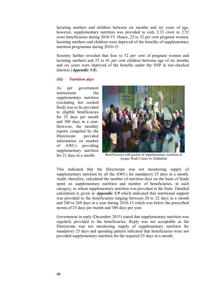lactating mothers and children between six months and six years of age, however, supplementary nutrition was provided to only 2.33 crore to 2.52 crore beneficiaries during 2010-15. Hence, 22 to 32 *per cent* pregnant women, lactating mothers and children were deprived of the benefits of supplementary nutrition programme during 2010-15.

Scrutiny further revealed that four to 52 *per cent* of pregnant women and lactating mothers and 25 to 41 *per cent* children between age of six months and six years were deprived of the benefits under the SNP in test-checked districts (*Appendix 5.8*).

## *(iii) Nutrition days*

As per government instructions the supplementary nutrition (excluding hot cooked food) was to be provided to eligible beneficiaries for 25 days per month and 300 days in a year. However, the monthly reports compiled by the Directorate provided information on number of AWCs providing supplementary nutrition



for 21 days in a month. Beneficiaries with packet of supplementary nutrition at Angan Wadi Centre in Allahabad

This indicated that the Directorate was not monitoring supply of supplementary nutrition by all the AWCs for mandatory 25 days in a month. Audit, therefore, calculated the number of nutrition days on the basis of funds spent on supplementary nutrition and number of beneficiaries, in each category, to whom supplementary nutrition was provided in the State. Detailed calculation is given in *Appendix 5.9* which indicated that nutritional support was provided to the beneficiaries ranging between 20 to 22 days in a month and 240 to 269 days in a year during 2010-15 which was below the prescribed norms of 25 days per month and 300 days per year.

Government in reply (December 2015) stated that supplementary nutrition was regularly provided to the beneficiaries. Reply was not acceptable as the Directorate was not monitoring supply of supplementary nutrition for mandatory 25 days and spending pattern indicated that beneficiaries were not provided supplementary nutrition for the required 25 days in a month.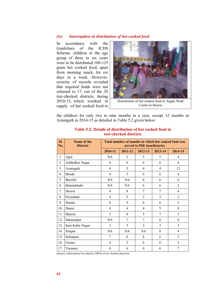# *(iv) Interruption in distribution of hot cooked food*

In accordance with the Guidelines of the ICDS Scheme, children in the age group of three to six years were to be distributed 100-125 gram hot cooked food, apart from morning snack, for six days in a week. However, scrutiny of records revealed that required funds were not released to 17, out of the 20 test-checked districts, during 2010-15, which resulted in supply of hot cooked food to



Centre in Deoria

the children for only two to nine months in a year, except 12 months in Azamgarh in 2014-15 as detailed in Table 5.2 given below:

| SI.<br>No. | Name of the<br><b>District</b> | Total number of months in which hot cooked food was<br>served to PSE beneficiaries |                |                |         |                |  |  |
|------------|--------------------------------|------------------------------------------------------------------------------------|----------------|----------------|---------|----------------|--|--|
|            |                                | 2010-11                                                                            | 2011-12        | 2012-13        | 2013-14 | 2014-15        |  |  |
| 1.         | Agra                           | NA                                                                                 | 3              | 5              | 5       | 4              |  |  |
| 2.         | Ambedkar Nagar                 | 6                                                                                  | 6              | 6              | 6       | $\overline{4}$ |  |  |
| 3.         | Azamgarh                       | 6                                                                                  | 5              | 6              | 4       | 12             |  |  |
| 4.         | Banda                          | 6                                                                                  | 5              | 6              | 6       | $\overline{4}$ |  |  |
| 5.         | Bareilly                       | NA                                                                                 | NA.            | 6              | 6       | 6              |  |  |
| 6.         | Bulandshahr                    | <b>NA</b>                                                                          | <b>NA</b>      | 6              | 6       | $\overline{2}$ |  |  |
| 7.         | Deoria                         | 8                                                                                  | 8              | $\overline{7}$ | 7       | $\overline{4}$ |  |  |
| 8.         | Firozabad                      | 4                                                                                  | 5              | 3              | 3       | $\overline{2}$ |  |  |
| 9.         | Hardoi                         | 8                                                                                  | 9              | 8              | 6       | $\overline{3}$ |  |  |
| 10.        | Jhansi                         | $\overline{4}$                                                                     | $\overline{4}$ | $\overline{4}$ | 5       | 8              |  |  |
| 11.        | Meerut                         | 5                                                                                  | 8              | 5              | 7       | 3              |  |  |
| 12.        | Saharanpur                     | NA                                                                                 | 7              | $\overline{7}$ | 8       | 6              |  |  |
| 13.        | Sant Kabir Nagar               | 3                                                                                  | 3              | $\overline{2}$ | 3       | 3              |  |  |
| 14.        | Sitapur                        | NA                                                                                 | NA             | <b>NA</b>      | 8       | $\overline{4}$ |  |  |
| 15.        | Sultanpur                      | 7                                                                                  | 6              | 8              | 6       | 5              |  |  |
| 16.        | Unnao                          | 6                                                                                  | 3              | 6              | 6       | 5              |  |  |
| 17.        | Varanasi                       | 6                                                                                  | 6              | 6              | 6       | $\overline{7}$ |  |  |

# **Table 5.2: Details of distribution of hot cooked food in test-checked districts**

(Source: Information Provided by DPOs of test checked districts)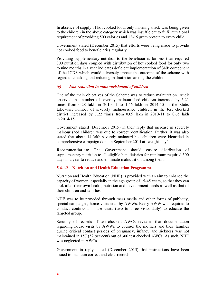In absence of supply of hot cooked food, only morning snack was being given to the children in the above category which was insufficient to fulfil nutritional requirement of providing 500 calories and 12-15 gram protein to every child.

Government stated (December 2015) that efforts were being made to provide hot cooked food to beneficiaries regularly.

Providing supplementary nutrition to the beneficiaries for less than required 300 nutrition days coupled with distribution of hot cooked food for only two to nine months in a year indicates deficient implementation of SNP component of the ICDS which would adversely impact the outcome of the scheme with regard to checking and reducing malnutrition among the children.

#### *(v) Non reduction in malnourishment of children*

One of the main objectives of the Scheme was to reduce malnutrition. Audit observed that number of severely malnourished children increased by 5.21 times from 0.28 lakh in 2010-11 to 1.46 lakh in 2014-15 in the State. Likewise, number of severely malnourished children in the test checked district increased by 7.22 times from 0.09 lakh in 2010-11 to 0.65 lakh in 2014-15.

Government stated (December 2015) in their reply that increase in severely malnourished children was due to correct identification. Further, it was also stated that about 14 lakh severely malnourished children were identified in comprehensive campaign done in September 2015 at 'weight-day'.

**Recommendation:** The Government should ensure distribution of supplementary nutrition to all eligible beneficiaries for minimum required 300 days in a year to reduce and eliminate malnutrition among them**.** 

## **5.4.1.2 Nutrition and Health Education Programme**

Nutrition and Health Education (NHE) is provided with an aim to enhance the capacity of women, especially in the age group of 15-45 years, so that they can look after their own health, nutrition and development needs as well as that of their children and families.

NHE was to be provided through mass media and other forms of publicity, special campaigns, home visits etc., by AWWs. Every AWW was required to conduct continuous house visits (two to three visits daily) to educate the targeted group.

Scrutiny of records of test-checked AWCs revealed that documentation regarding house visits by AWWs to counsel the mothers and their families during critical contact periods of pregnancy, infancy and sickness was not maintained in 157 (52 *per cent*) out of 300 test checked AWCs. As such, NHE was neglected in AWCs.

Government in reply stated (December 2015) that instructions have been issued to maintain correct and clear records.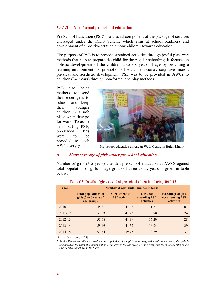# **5.4.1.3 Non-formal pre-school education**

Pre School Education (PSE) is a crucial component of the package of services envisaged under the ICDS Scheme which aims at school readiness and development of a positive attitude among children towards education.

The purpose of PSE is to provide sustained activities through joyful play-way methods that help to prepare the child for the regular schooling. It focuses on holistic development of the children upto six years of age by providing a learning environment for promotion of social, emotional, cognitive, motor, physical and aesthetic development. PSE was to be provided in AWCs to children (3-6 years) through non-formal and play methods.

PSE also helps mothers to send their elder girls to school and keep their younger children in a safe place when they go for work. To assist in imparting PSE, pre-school kits were to be provided to each AWC every year.



Pre-school education at Angan Wadi Centre in Bulandshahr

#### *(i) Short coverage of girls under pre-school education*

Number of girls (3-6 years) attended pre-school education at AWCs against total population of girls in age group of three to six years is given in table below:

| Year        | Number of Girl child (number in lakh)                                                                        |       |                                                 |                                                               |  |  |  |
|-------------|--------------------------------------------------------------------------------------------------------------|-------|-------------------------------------------------|---------------------------------------------------------------|--|--|--|
|             | <b>Girls attended</b><br>Total population* of<br>girls (3 to 6 years of<br><b>PSE</b> activity<br>age group) |       | <b>Girls</b> not<br>attending PSE<br>activities | <b>Percentage of girls</b><br>not attending PSE<br>activities |  |  |  |
| 2010-11     | 45.81                                                                                                        | 44.48 | 1.33                                            |                                                               |  |  |  |
| $2011 - 12$ | 55.93                                                                                                        | 42.23 | 13.70                                           | 24                                                            |  |  |  |
| 2012-13     | 57.68                                                                                                        | 41.39 | 16.29                                           | 28                                                            |  |  |  |
| $2013 - 14$ | 58.46                                                                                                        | 41.52 | 16.94                                           | 29                                                            |  |  |  |
| 2014-15     | 59.64                                                                                                        | 39.75 | 19.89                                           |                                                               |  |  |  |

**Table 5.3: Details of girls attended pre-school education during 2010-15** 

(Source: Directorate, ICDS)

*\* As the Department did not provide total population of the girls separately, estimated population of the girls is calculated on the basis of total population of children in the age group of 3 to 6 years and the child sex ratio of 902 girls per thousand boys in the State.*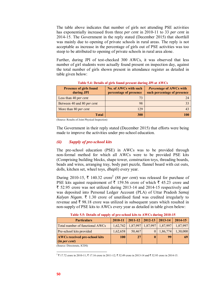The table above indicates that number of girls not attending PSE activities has exponentially increased from three *per cent* in 2010-11 to 33 *per cent* in 2014-15. The Government in the reply stated (December 2015) that shortfall was mainly due to opening of private schools in rural areas. The reply is not acceptable as increase in the percentage of girls out of PSE activities was too steep to be attributed to opening of private schools in rural area alone.

Further, during JPI of test-checked 300 AWCs, it was observed that less number of girl students were actually found present on inspection day, against the total number of girls shown present in attendance register as detailed in table given below:

| <b>Presence of girls found</b><br>during JPI | No. of AWCs with such<br>percentage of presence | <i>Percentage</i> of AWCs with<br>such percentage of presence |
|----------------------------------------------|-------------------------------------------------|---------------------------------------------------------------|
| Less than 40 per cent                        |                                                 |                                                               |
| Between 40 and 80 per cent                   |                                                 |                                                               |
| More than 80 <i>per cent</i>                 | 129                                             |                                                               |
| Total                                        | 300                                             |                                                               |

**Table 5.4: Details of girls found present during JPl at AWCs** 

(Source: Results of Joint Physical Inspection)

The Government in their reply stated (December 2015) that efforts were being made to improve the activities under pre-school education.

## *(ii) Supply of pre-school kits*

The pre-school education (PSE) in AWCs was to be provided through non-formal method for which all AWCs were to be provided PSE kits (Comprising building blocks, shape tower, construction toys, threading boards, beads and wires, arranging tray, body part puzzle, flannel board with cut outs, dolls, kitchen set, wheel toys, *dhapli*) every year.

During 2010-15,  $\bar{\tau}$  140.32 crore<sup>2</sup> (88 *per cent*) was released for purchase of PSE kits against requirement of  $\bar{\tau}$  159.56 crore of which  $\bar{\tau}$  45.23 crore and  $\bar{\tau}$  52.95 crore was not utilized during 2013-14 and 2014-15 respectively and was deposited into Personal Ledger Account (PLA) of Uttar Pradesh *Samaj Kalyan Nigam.*  $\bar{\tau}$  1.30 crore of unutilised fund was credited irregularly to revenue and  $\bar{\tau}$  98.18 crore was utilized in subsequent years which resulted in non-supply of PSE kits to AWCs every year as detailed in table given below:

| <b>Particulars</b>                                    | 2010-11    |        | $2011 - 12$   2012-13   2013-14 |          | 2014-15  |  |
|-------------------------------------------------------|------------|--------|---------------------------------|----------|----------|--|
| Total number of functional AWCs                       | 1,62,742   |        | $1,87,997$ $1,87,997$           | 1,87,997 | 1,87,997 |  |
| Pre-school kits provided                              | 1,62,658   | 50,467 |                                 | 1,86,774 | 1,30,000 |  |
| <b>AWCs received pre-school kits</b><br>(in per cent) | <b>100</b> | 27     |                                 | 99       | 69       |  |
| $(C_{\text{out}} \cap C_{\text{in}})$                 |            |        |                                 |          |          |  |

**Table 5.5: Details of supply of pre-school kits to AWCs during 2010-15** 

(Source: Directorate, ICDS)

**.**  $2 \bar{\xi}$  17.72 crore in 2010-11; ₹ 17.16 crore in 2011-12; ₹ 52.49 crore in 2013-14 and ₹ 52.95 crore in 2014-15.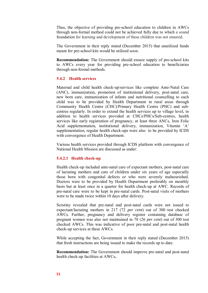Thus, the objective of providing pre-school education to children in AWCs through non-formal method could not be achieved fully due to which a sound foundation for learning and development of these children was not ensured.

The Government in their reply stated (December 2015) that unutilized funds meant for pre-school kits would be utilized soon.

**Recommendation:** The Government should ensure supply of pre-school kits to AWCs every year for providing pre-school education to beneficiaries through non-formal methods.

# **5.4.2 Health services**

Maternal and child health check-up/services like complete Ante-Natal Care (ANC), immunization, promotion of institutional delivery, post-natal care, new born care, immunization of infants and nutritional counselling to each child was to be provided by Health Department in rural areas through Community Health Centre (CHC)/Primary Health Centre (PHC) and subcentres regularly. In order to extend the health services up to village level, in addition to health services provided at CHCs/PHCs/Sub-centres, health services like early registration of pregnancy, at least three ANCs, Iron Folic Acid supplementation, institutional delivery, immunization, Vitamin 'A' supplementation, regular health check-ups were also to be provided by ICDS with convergence of Health Department.

Various health services provided through ICDS platform with convergence of National Health Mission are discussed as under:

## **5.4.2.1 Health check-up**

Health check-up included ante-natal care of expectant mothers, post-natal care of lactating mothers and care of children under six years of age especially those born with congenital defects or who were severely malnourished. Doctors were to be provided by Health Department preferably on monthly basis but at least once in a quarter for health check-up at AWC. Records of pre-natal care were to be kept in pre-natal cards. Post-natal visits of mothers were to be made twice within 10 days after delivery.

Scrutiny revealed that pre-natal and post-natal cards were not issued to expectant/lactating mothers in 217 (72 *per cent*) out of 300 test checked AWCs. Further, pregnancy and delivery register containing database of pregnant women was also not maintained in 78 (26 *per cent*) out of 300 test checked AWCs. This was indicative of poor pre-natal and post-natal health check-up services at these AWCs.

While accepting the fact, Government in their reply stated (December 2015) that fresh instructions are being issued to make the records up to date.

**Recommendation:** The Government should improve pre-natal and post-natal health check-up facilities at AWCs**.**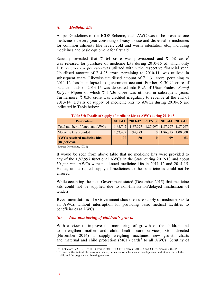## *(i) Medicine kits*

As per Guidelines of the ICDS Scheme, each AWC was to be provided one medicine kit every year consisting of easy to use and dispensable medicines for common ailments like fever, cold and worm infestation etc., including medicines and basic equipment for first aid.

Scrutiny revealed that  $\bar{\tau}$  64 crore was provisioned and  $\bar{\tau}$  58 crore<sup>3</sup> was released for purchase of medicine kits during 2010-15 of which only ` 19.75 crore (34 *per cent*) was utilized within the respective financial year. Unutilised amount of  $\bar{\tau}$  4.25 crore, pertaining to 2010-11, was utilized in subsequent years. Likewise unutilised amount of  $\bar{\tau}$  1.31 crore, pertaining to 2011-12, has been lapsed to government account. Further,  $\bar{\tau}$  30.94 crore of balance funds of 2013-15 was deposited into PLA of Uttar Pradesh *Samaj Kalyan Nigam* of which  $\bar{\tau}$  17.36 crore was utilized in subsequent years. Furthermore,  $\bar{\tau}$  0.36 crore was credited irregularly to revenue at the end of 2013-14. Details of supply of medicine kits to AWCs during 2010-15 are indicated in Table below:

| <b>Particulars</b>                                       | 2010-11    | $2011 - 12$ | $2012 - 13$  | 2013-14  | $2014 - 15$ |
|----------------------------------------------------------|------------|-------------|--------------|----------|-------------|
| Total number of functional AWCs                          | 1,62,742   | 1,87,997    | 1,87,997     | 1,87,997 | 1,87,997    |
| Medicine kits provided                                   | 1,62,407   | 94,273      |              | 1,86,815 | 1,00,000    |
| <b>AWCs received medicine kits</b><br>$\sin\,per\,cent)$ | <b>100</b> | 50          | $\mathbf{0}$ | 99       | 53          |

| Table 5.6: Details of supply of medicine kits to AWCs during 2010-15 |  |  |
|----------------------------------------------------------------------|--|--|
|----------------------------------------------------------------------|--|--|

(Source: Directorate, ICDS)

It would be seen from above table that no medicine kits were provided to any of the 1,87,997 functional AWCs in the State during 2012-13 and about 50 *per cent* AWCs were not issued medicine kits in 2011-12 and 2014-15. Hence, uninterrupted supply of medicines to the beneficiaries could not be ensured.

While accepting the fact, Government stated (December 2015) that medicine kits could not be supplied due to non-finalisation/delayed finalisation of tenders.

**Recommendation:** The Government should ensure supply of medicine kits to all AWCs without interruption for providing basic medical facilities to beneficiaries at AWCs.

## *(ii) Non-monitoring of children's growth*

With a view to improve the monitoring of growth of the children and to strengthen mother and child health care services, GoI directed (November 2014) to supply weighing machines, new growth charts and maternal and child protection (MCP) cards<sup>4</sup> to all AWCs. Scrutiny of

T<br>
3 ₹ 11.30 crore in 2010-11; ₹ 11.30 crore in 2011-12; ₹ 17.70 crore in 2013-14 and ₹ 17.70 crore in 2014-15.

<sup>&</sup>lt;sup>4</sup> To each mother to track the nutritional status, immunization schedule and developmental milestones for both the child and the pregnant and lactating mothers.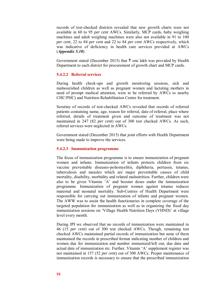records of test-checked districts revealed that new growth charts were not available in 60 to 95 *per cent* AWCs. Similarly, MCP cards, baby weighing machines and adult weighing machines were also not available in 91 to 100 *per cent*, 22 to 84 *per cent* and 22 to 84 *per cent* AWCs respectively, which was indicative of deficiency in health care services provided at AWCs (*Appendix 5.10*).

Government stated (December 2015) that  $\bar{\tau}$  one lakh was provided by Health Department to each district for procurement of growth chart and MCP cards.

# **5.4.2.2 Referral services**

During health check-ups and growth monitoring sessions, sick and malnourished children as well as pregnant women and lactating mothers in need of prompt medical attention, were to be referred by AWCs to nearby CHC/PHC) and Nutrition Rehabilitation Centre for treatment.

Scrutiny of records of test-checked AWCs revealed that records of referred patients containing name, age, reason for referral, date of referral, place where referred, details of treatment given and outcome of treatment was not maintained in 247 (82 *per cent*) out of 300 test checked AWCs. As such, referral services were neglected in AWCs.

Government stated (December 2015) that joint efforts with Health Department were being made to improve the services.

#### **5.4.2.3 Immunization programme**

The focus of immunization programme is to ensure immunization of pregnant women and infants. Immunization of infants protects children from six vaccine preventable diseases-poliomyelitis, diphtheria, pertussis, tetanus, tuberculosis and measles which are major preventable causes of child mortality, disability, morbidity and related malnutrition. Further, children were also to be given Vitamin 'A' and booster doses under the immunization programme. Immunization of pregnant women against tetanus reduces maternal and neonatal mortality. Sub-Centres of Health Department were responsible for carrying out immunization of infants and pregnant women. The AWW was to assist the health functionaries in complete coverage of the targeted population for immunization as well as in organizing the fixed day immunization sessions on 'Village Health Nutrition Days (VHND)' at village level every month.

During JPI we observed that no records of immunization were maintained in 46 (15 *per cent*) out of 300 test checked AWCs. Though, remaining test checked AWCs maintained partial records of immunization but none of them maintained the records in prescribed format indicating number of children and women due for immunization and number immunized/left out, due date and actual date of immunization etc. Further, Vitamin 'A' supplement register was not maintained in 157 (52 *per cent*) out of 300 AWCs. Proper maintenance of immunization records is necessary to ensure that the prescribed immunization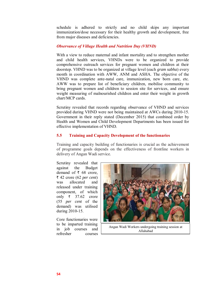schedule is adhered to strictly and no child skips any important immunization/dose necessary for their healthy growth and development, free from major diseases and deficiencies.

# *Observance of Village Health and Nutrition Day (VHND)*

With a view to reduce maternal and infant mortality and to strengthen mother and child health services, VHNDs were to be organized to provide comprehensive outreach services for pregnant women and children at their doorstep. VHND was to be organized at village level (each *gram sabha*) every month in coordination with AWW, ANM and ASHA. The objective of the VHND was complete ante-natal care, immunization, new born care, etc. AWW was to prepare list of beneficiary children, mobilise community to bring pregnant women and children to session site for services, and ensure weight measuring of malnourished children and enter their weight in growth chart/MCP cards.

Scrutiny revealed that records regarding observance of VHND and services provided during VHND were not being maintained at AWCs during 2010-15. Government in their reply stated (December 2015) that combined order by Health and Women and Child Development Departments has been issued for effective implementation of VHND.

# **5.5 Training and Capacity Development of the functionaries**

Training and capacity building of functionaries is crucial as the achievement of programme goals depends on the effectiveness of frontline workers in delivery of Angan Wadi service.

Scrutiny revealed that against the Budget demand of  $\bar{\tau}$  68 crore, ` 42 crore (62 *per cent*) was allocated and released under training component, of which only  $\overline{z}$  37.62 crore (55 *per cent* of the demand) was utilised during 2010-15.

Core functionaries were to be imparted training in job courses and refresher courses



Angan Wadi Workers undergoing training session at Allahabad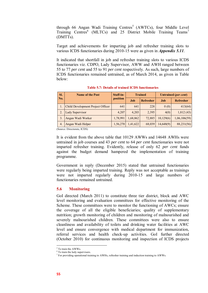through 66 Angan Wadi Training Centres<sup>5</sup> (AWTCs), four Middle Level Training Centres<sup>6</sup> (MLTCs) and 25 District Mobile Training Teams<sup>7</sup> (DMTTs).

Target and achievements for imparting job and refresher training slots to various ICDS functionaries during 2010-15 were as given in *Appendix 5.11.*

It indicated that shortfall in job and refresher training slots to various ICDS functionaries viz. CDPO, Lady Supervisor, AWW and AWH ranged between 55 to 77 *per cent* and 55 to 91 *per cent* respectively. As such, large numbers of ICDS functionaries remained untrained, as of March 2014, as given in Table below:

| SI. | <b>Name of the Post</b>           | Staff-in- |            | <b>Trained</b>   | Untrained ( <i>per cent</i> ) |                  |  |
|-----|-----------------------------------|-----------|------------|------------------|-------------------------------|------------------|--|
| No. |                                   | position  | <b>Job</b> | <b>Refresher</b> | Job                           | <b>Refresher</b> |  |
|     | Child Development Project Officer | 641       | 641        | 228              | 0(0)                          | 413(64)          |  |
|     | Lady Supervisor                   | 4.207     | 4.203      | 2,395            | 4(0)                          | 1,812(43)        |  |
| 3.  | Angan Wadi Worker                 | 1,78,991  | 1,68,862   | 72,885           | 10,129(6)                     | 1,06,106(59)     |  |
| 4.  | Angan Wadi Helper                 | 1,56,270  | 1,41,622   | 68,039           | 14,648(9)                     | 88,231(56)       |  |

**Table 5.7: Details of trained ICDS functionaries** 

(Source: Directorate, ICDS)

It is evident from the above table that 10129 AWWs and 14648 AWHs were untrained in job courses and 43 *per cent* to 64 *per cent* functionaries were not imparted refresher training. Evidently, release of only 62 *per cent* funds against the budget demand hampered the implementation of training programme.

Government in reply (December 2015) stated that untrained functionaries were regularly being imparted training. Reply was not acceptable as trainings were not imparted regularly during 2010-15 and large numbers of functionaries remained untrained.

## **5.6 Monitoring**

GoI directed (March 2011) to constitute three tier district, block and AWC level monitoring and evaluation committees for effective monitoring of the Scheme. These committees were to monitor the functioning of AWCs; ensure the coverage of all the eligible beneficiaries; quality of supplementary nutrition; growth monitoring of children and monitoring of malnourished and severely malnourished children. These committees were also to ensure cleanliness and availability of toilets and drinking water facilities at AWC level and ensure convergence with medical department for immunization, referral services and health check-up activities. GoI further directed (October 2010) for continuous monitoring and inspection of ICDS projects

 $5$  To train the AWWs.

<sup>&</sup>lt;sup>6</sup> To train the lady supervisors.

<sup>&</sup>lt;sup>7</sup> For providing operational training to AWHs, refresher training and induction training to AWWs.